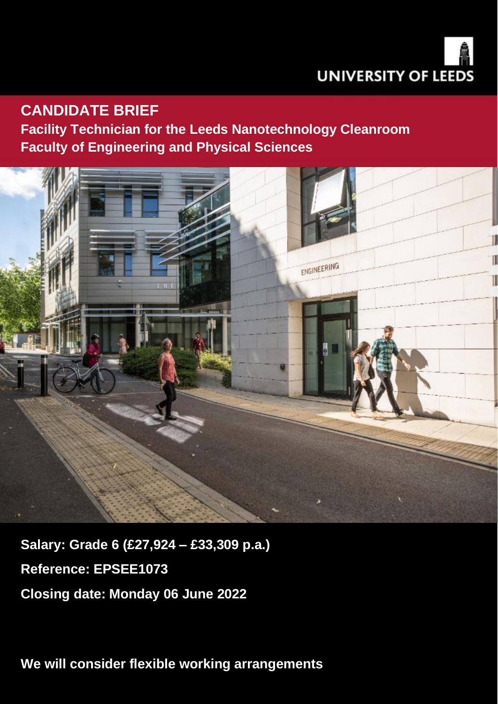

## **CANDIDATE BRIEF**

**Facility Technician for the Leeds Nanotechnology Cleanroom Faculty of Engineering and Physical Sciences**



**Salary: Grade 6 (£27,924 – £33,309 p.a.) Reference: EPSEE1073 Closing date: Monday 06 June 2022**

**We will consider flexible working arrangements**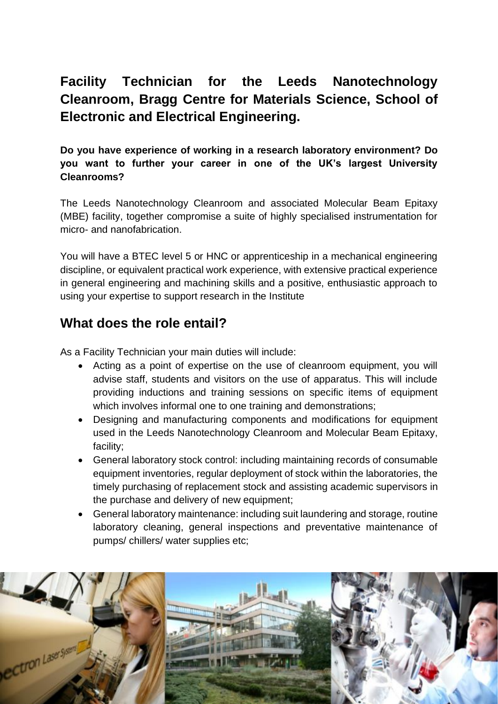# **Facility Technician for the Leeds Nanotechnology Cleanroom, Bragg Centre for Materials Science, School of Electronic and Electrical Engineering.**

**Do you have experience of working in a research laboratory environment? Do you want to further your career in one of the UK's largest University Cleanrooms?**

The Leeds Nanotechnology Cleanroom and associated Molecular Beam Epitaxy (MBE) facility, together compromise a suite of highly specialised instrumentation for micro- and nanofabrication.

You will have a BTEC level 5 or HNC or apprenticeship in a mechanical engineering discipline, or equivalent practical work experience, with extensive practical experience in general engineering and machining skills and a positive, enthusiastic approach to using your expertise to support research in the Institute

### **What does the role entail?**

As a Facility Technician your main duties will include:

- Acting as a point of expertise on the use of cleanroom equipment, you will advise staff, students and visitors on the use of apparatus. This will include providing inductions and training sessions on specific items of equipment which involves informal one to one training and demonstrations;
- Designing and manufacturing components and modifications for equipment used in the Leeds Nanotechnology Cleanroom and Molecular Beam Epitaxy, facility;
- General laboratory stock control: including maintaining records of consumable equipment inventories, regular deployment of stock within the laboratories, the timely purchasing of replacement stock and assisting academic supervisors in the purchase and delivery of new equipment;
- General laboratory maintenance: including suit laundering and storage, routine laboratory cleaning, general inspections and preventative maintenance of pumps/ chillers/ water supplies etc;

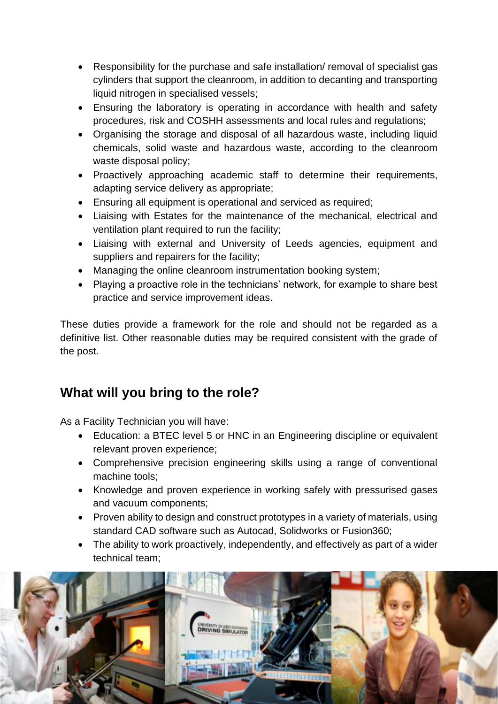- Responsibility for the purchase and safe installation/ removal of specialist gas cylinders that support the cleanroom, in addition to decanting and transporting liquid nitrogen in specialised vessels;
- Ensuring the laboratory is operating in accordance with health and safety procedures, risk and COSHH assessments and local rules and regulations;
- Organising the storage and disposal of all hazardous waste, including liquid chemicals, solid waste and hazardous waste, according to the cleanroom waste disposal policy;
- Proactively approaching academic staff to determine their requirements, adapting service delivery as appropriate;
- Ensuring all equipment is operational and serviced as required;
- Liaising with Estates for the maintenance of the mechanical, electrical and ventilation plant required to run the facility;
- Liaising with external and University of Leeds agencies, equipment and suppliers and repairers for the facility;
- Managing the online cleanroom instrumentation booking system;
- Playing a proactive role in the technicians' network, for example to share best practice and service improvement ideas.

These duties provide a framework for the role and should not be regarded as a definitive list. Other reasonable duties may be required consistent with the grade of the post.

# **What will you bring to the role?**

As a Facility Technician you will have:

- Education: a BTEC level 5 or HNC in an Engineering discipline or equivalent relevant proven experience;
- Comprehensive precision engineering skills using a range of conventional machine tools;
- Knowledge and proven experience in working safely with pressurised gases and vacuum components;
- Proven ability to design and construct prototypes in a variety of materials, using standard CAD software such as Autocad, Solidworks or Fusion360;
- The ability to work proactively, independently, and effectively as part of a wider technical team;

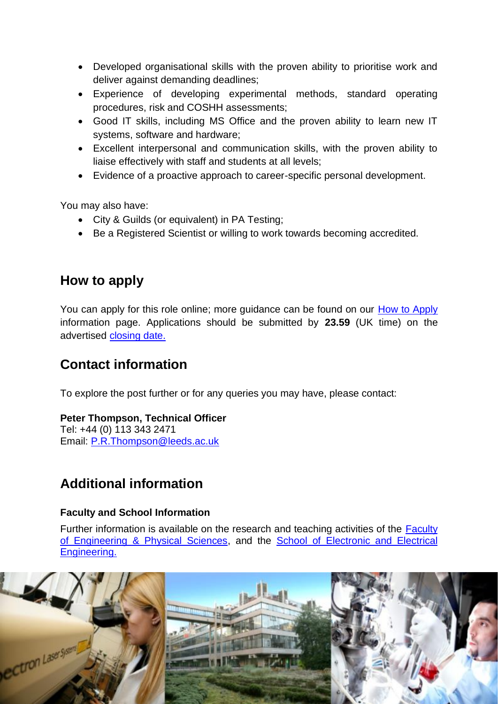- Developed organisational skills with the proven ability to prioritise work and deliver against demanding deadlines;
- Experience of developing experimental methods, standard operating procedures, risk and COSHH assessments;
- Good IT skills, including MS Office and the proven ability to learn new IT systems, software and hardware;
- Excellent interpersonal and communication skills, with the proven ability to liaise effectively with staff and students at all levels;
- Evidence of a proactive approach to career-specific personal development.

You may also have:

- City & Guilds (or equivalent) in PA Testing;
- Be a Registered Scientist or willing to work towards becoming accredited.

### **How to apply**

You can apply for this role online; more guidance can be found on our [How to Apply](https://jobs.leeds.ac.uk/display.aspx?id=1253&pid=0) information page. Applications should be submitted by **23.59** (UK time) on the advertised [closing date.](http://jobs.leeds.ac.uk/EPSEE1073/)

## **Contact information**

To explore the post further or for any queries you may have, please contact:

### **Peter Thompson, Technical Officer**

Tel: +44 (0) 113 343 2471 Email: [P.R.Thompson@leeds.ac.uk](mailto:P.R.Thompson@leeds.ac.uk)

### **Additional information**

### **Faculty and School Information**

Further information is available on the research and teaching activities of the [Faculty](https://eps.leeds.ac.uk/)  [of Engineering & Physical Sciences,](https://eps.leeds.ac.uk/) and the [School of Electronic and Electrical](https://eps.leeds.ac.uk/electronic-engineering)  [Engineering.](https://eps.leeds.ac.uk/electronic-engineering) 

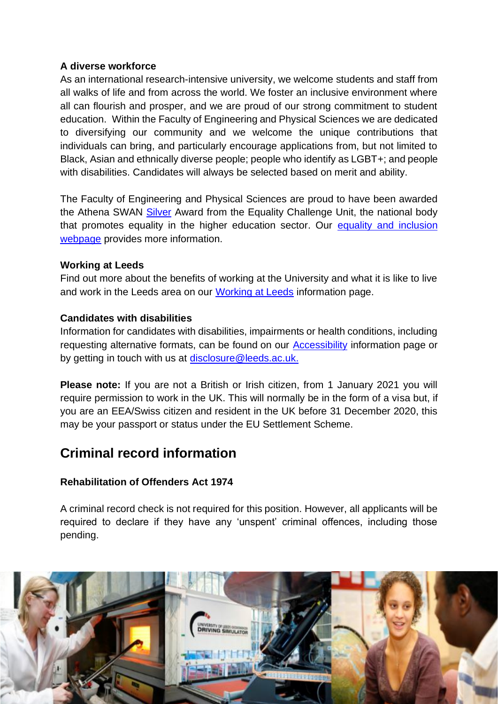### **A diverse workforce**

As an international research-intensive university, we welcome students and staff from all walks of life and from across the world. We foster an inclusive environment where all can flourish and prosper, and we are proud of our strong commitment to student education. Within the Faculty of Engineering and Physical Sciences we are dedicated to diversifying our community and we welcome the unique contributions that individuals can bring, and particularly encourage applications from, but not limited to Black, Asian and ethnically diverse people; people who identify as LGBT+; and people with disabilities. Candidates will always be selected based on merit and ability.

The Faculty of Engineering and Physical Sciences are proud to have been awarded the Athena SWAN [Silver](https://eps.leeds.ac.uk/faculty-engineering-physical-sciences/doc/equality-inclusion-1) Award from the Equality Challenge Unit, the national body that promotes equality in the higher education sector. Our equality [and inclusion](http://www.leeds.ac.uk/info/114000/jobs/122/equality_and_inclusion)  [webpage](http://www.leeds.ac.uk/info/114000/jobs/122/equality_and_inclusion) provides more information.

#### **Working at Leeds**

Find out more about the benefits of working at the University and what it is like to live and work in the Leeds area on our [Working at Leeds](https://jobs.leeds.ac.uk/display.aspx?id=1697&pid=0) information page.

#### **Candidates with disabilities**

Information for candidates with disabilities, impairments or health conditions, including requesting alternative formats, can be found on our [Accessibility](https://jobs.leeds.ac.uk/display.aspx?id=1253&pid=0) information page or by getting in touch with us at [disclosure@leeds.ac.uk.](mailto:disclosure@leeds.ac.uk)

**Please note:** If you are not a British or Irish citizen, from 1 January 2021 you will require permission to work in the UK. This will normally be in the form of a visa but, if you are an EEA/Swiss citizen and resident in the UK before 31 December 2020, this may be your passport or status under the EU Settlement Scheme.

### **Criminal record information**

### **Rehabilitation of Offenders Act 1974**

A criminal record check is not required for this position. However, all applicants will be required to declare if they have any 'unspent' criminal offences, including those pending.